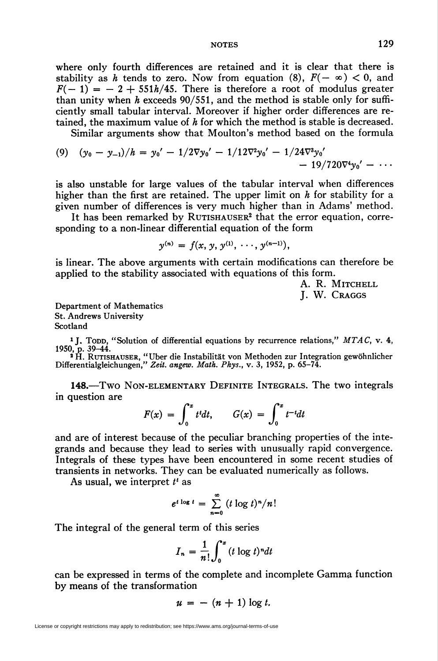## NOTES 129

where only fourth differences are retained and it is clear that there is stability as h tends to zero. Now from equation (8),  $F(-\infty) < 0$ , and  $F(-1) = -2 + 551h/45$ . There is therefore a root of modulus greater than unity when  $h$  exceeds 90/551, and the method is stable only for sufficiently small tabular interval. Moreover if higher order differences are retained, the maximum value of  $h$  for which the method is stable is decreased.

Similar arguments show that Moulton's method based on the formula

(9) 
$$
(y_0 - y_{-1})/h = y_0' - 1/2\nabla y_0' - 1/12\nabla^2 y_0' - 1/24\nabla^3 y_0' - 19/720\nabla^4 y_0' - \cdots
$$

is also unstable for large values of the tabular interval when differences higher than the first are retained. The upper limit on  $h$  for stability for a given number of differences is very much higher than in Adams' method.

It has been remarked by RUTISHAUSER<sup>2</sup> that the error equation, corresponding to a non-linear differential equation of the form

$$
y^{(n)} = f(x, y, y^{(1)}, \cdots, y^{(n-1)}),
$$

is linear. The above arguments with certain modifications can therefore be applied to the stability associated with equations of this form.

> A. R. MITCHELL J. W. Craggs

Department of Mathematics St. Andrews University Scotland

<sup>1</sup> J. Topp, "Solution of differential equations by recurrence relations," MTAC, v. 4<br>1950, p. 39–44.<br><sup>2</sup> H. RUTISHAUSER, "Uber die Instabilität von Methoden zur Integration gewöhnlicher<br>Differentialgleichungen," Zeit. ang

148.—Two Non-elementary Definite Integrals. The two integrals in question are

$$
F(x) = \int_0^x t^t dt, \qquad G(x) = \int_0^x t^{-t} dt
$$

and are of interest because of the peculiar branching properties of the integrands and because they lead to series with unusually rapid convergence. Integrals of these types have been encountered in some recent studies of transients in networks. They can be evaluated numerically as follows.

As usual, we interpret  $t^t$  as

$$
e^{t \log t} = \sum_{n=0}^{\infty} (t \log t)^n/n!
$$

The integral of the general term of this series

$$
I_n = \frac{1}{n!} \int_0^x (t \log t)^n dt
$$

can be expressed in terms of the complete and incomplete Gamma function by means of the transformation

$$
u = - (n + 1) \log t.
$$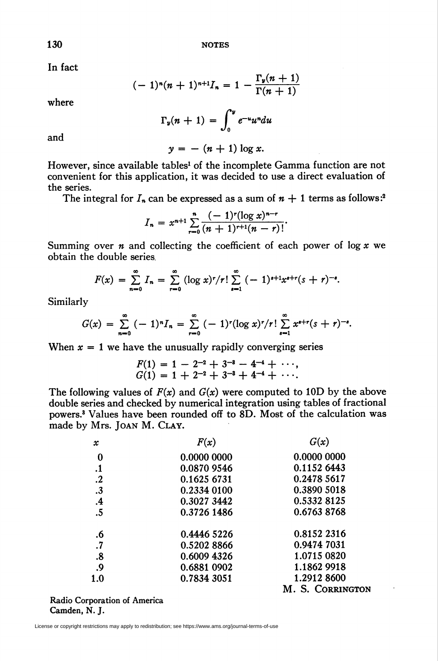130 NOTES

In fact

$$
(-1)^{n}(n+1)^{n+1}I_{n}=1-\frac{\Gamma_{y}(n+1)}{\Gamma(n+1)}
$$

where

$$
\Gamma_{\nu}(n+1) = \int_0^{\nu} e^{-u} u^n du
$$

 $y = -(n + 1) \log x$ .

and

However, since available tables<sup>1</sup> of the incomplete Gamma function are not convenient for this application, it was decided to use a direct evaluation of the series.

The integral for  $I_n$  can be expressed as a sum of  $n + 1$  terms as follows:<sup>2</sup>

$$
I_n = x^{n+1} \sum_{r=0}^{n} \frac{(-1)^r (\log x)^{n-r}}{(n+1)^{r+1}(n-r)!}
$$

Summing over  $n$  and collecting the coefficient of each power of log  $x$  we obtain the double series

$$
F(x) = \sum_{n=0}^{\infty} I_n = \sum_{r=0}^{\infty} (\log x)^r / r! \sum_{s=1}^{\infty} (-1)^{s+1} x^{s+r} (s+r)^{-s}.
$$

Similarly

$$
G(x) = \sum_{n=0}^{\infty} (-1)^n I_n = \sum_{r=0}^{\infty} (-1)^r (\log x)^r / r! \sum_{s=1}^{\infty} x^{s+r} (s+r)^{-s}.
$$

When  $x = 1$  we have the unusually rapidly converging series

 $fF(1) = 1 - 2^{-2} + 3^{-3} - 4^{-4} + \cdots,$  $G(1) = 1 + 2^{-2} + 3^{-3} + 4^{-4} +$ 

The following values of  $F(x)$  and  $G(x)$  were computed to 10D by the above double series and checked by numerical integration using tables of fractional powers.3 Values have been rounded off to 8D. Most of the calculation was made by Mrs. Joan M. Clay.

| $\boldsymbol{x}$  | F(x)        | G(x)             |
|-------------------|-------------|------------------|
| 0                 | 0.0000 0000 | 0.0000 0000      |
| $\cdot$           | 0.0870 9546 | 0.1152 6443      |
| $\cdot$           | 0.1625 6731 | 0.2478 5617      |
| $\cdot$ 3         | 0.2334 0100 | 0.3890 5018      |
| $\cdot$ 4         | 0.3027 3442 | 0.5332 8125      |
| $\overline{.5}$   | 0.3726 1486 | 0.6763 8768      |
| .6                | 0.4446 5226 | 0.8152 2316      |
| $\cdot$ 7         | 0.5202 8866 | 0.9474 7031      |
| $\boldsymbol{.8}$ | 0.6009 4326 | 1.0715 0820      |
| $\cdot$           | 0.6881 0902 | 1.1862 9918      |
| 1.0               | 0.7834 3051 | 1.2912 8600      |
|                   |             | M. S. CORRINGTON |

Radio Corporation of America Camden, N. J.

License or copyright restrictions may apply to redistribution; see https://www.ams.org/journal-terms-of-use